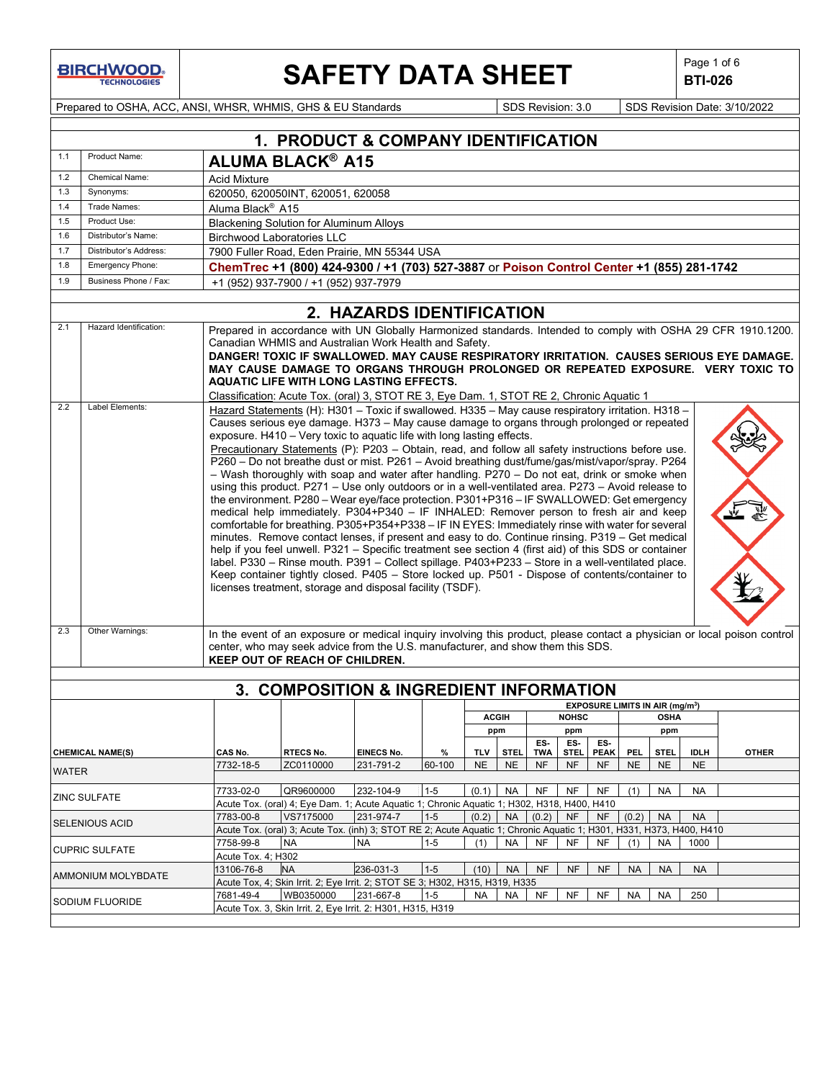$\mathsf{I}$ 

# **SAFETY DATA SHEET**  $\left|\begin{array}{cc} \text{Page 1 of 6} \\ \text{BIT-026} \end{array}\right|$

**BTI-026**

Prepared to OSHA, ACC, ANSI, WHSR, WHMIS, GHS & EU Standards Superiority SDS Revision: 3.0 SDS Revision Date: 3/10/2022

| Product Name:                                                                                                                                                                                                                                                                                                                                                                                                                                                                                                                                                                                                                                                                                                                                                                                                                                                                                                                                                                                                                                                                                                                                                                                                                                                                                                                                                                                                                                                                                                     |                                                                                                                                                                                                              |                                                            |                                                                                                                                             |                                                                                                                                                                                                           |                                                                                                                                             |                             |                                                            |                                                                                                                                     |                                                                           |                                                                                                                                                                                                               |                                          |                                     |                                                                                                                                                                                                                                                                                                                                                                                                                                                                                                                                                                                                                                                      |
|-------------------------------------------------------------------------------------------------------------------------------------------------------------------------------------------------------------------------------------------------------------------------------------------------------------------------------------------------------------------------------------------------------------------------------------------------------------------------------------------------------------------------------------------------------------------------------------------------------------------------------------------------------------------------------------------------------------------------------------------------------------------------------------------------------------------------------------------------------------------------------------------------------------------------------------------------------------------------------------------------------------------------------------------------------------------------------------------------------------------------------------------------------------------------------------------------------------------------------------------------------------------------------------------------------------------------------------------------------------------------------------------------------------------------------------------------------------------------------------------------------------------|--------------------------------------------------------------------------------------------------------------------------------------------------------------------------------------------------------------|------------------------------------------------------------|---------------------------------------------------------------------------------------------------------------------------------------------|-----------------------------------------------------------------------------------------------------------------------------------------------------------------------------------------------------------|---------------------------------------------------------------------------------------------------------------------------------------------|-----------------------------|------------------------------------------------------------|-------------------------------------------------------------------------------------------------------------------------------------|---------------------------------------------------------------------------|---------------------------------------------------------------------------------------------------------------------------------------------------------------------------------------------------------------|------------------------------------------|-------------------------------------|------------------------------------------------------------------------------------------------------------------------------------------------------------------------------------------------------------------------------------------------------------------------------------------------------------------------------------------------------------------------------------------------------------------------------------------------------------------------------------------------------------------------------------------------------------------------------------------------------------------------------------------------------|
| Chemical Name:                                                                                                                                                                                                                                                                                                                                                                                                                                                                                                                                                                                                                                                                                                                                                                                                                                                                                                                                                                                                                                                                                                                                                                                                                                                                                                                                                                                                                                                                                                    |                                                                                                                                                                                                              |                                                            |                                                                                                                                             |                                                                                                                                                                                                           |                                                                                                                                             |                             |                                                            |                                                                                                                                     |                                                                           |                                                                                                                                                                                                               |                                          |                                     |                                                                                                                                                                                                                                                                                                                                                                                                                                                                                                                                                                                                                                                      |
| Synonyms:                                                                                                                                                                                                                                                                                                                                                                                                                                                                                                                                                                                                                                                                                                                                                                                                                                                                                                                                                                                                                                                                                                                                                                                                                                                                                                                                                                                                                                                                                                         |                                                                                                                                                                                                              |                                                            |                                                                                                                                             |                                                                                                                                                                                                           |                                                                                                                                             |                             |                                                            |                                                                                                                                     |                                                                           |                                                                                                                                                                                                               |                                          |                                     |                                                                                                                                                                                                                                                                                                                                                                                                                                                                                                                                                                                                                                                      |
| Trade Names:                                                                                                                                                                                                                                                                                                                                                                                                                                                                                                                                                                                                                                                                                                                                                                                                                                                                                                                                                                                                                                                                                                                                                                                                                                                                                                                                                                                                                                                                                                      |                                                                                                                                                                                                              |                                                            |                                                                                                                                             |                                                                                                                                                                                                           |                                                                                                                                             |                             |                                                            |                                                                                                                                     |                                                                           |                                                                                                                                                                                                               |                                          |                                     |                                                                                                                                                                                                                                                                                                                                                                                                                                                                                                                                                                                                                                                      |
| Product Use:                                                                                                                                                                                                                                                                                                                                                                                                                                                                                                                                                                                                                                                                                                                                                                                                                                                                                                                                                                                                                                                                                                                                                                                                                                                                                                                                                                                                                                                                                                      |                                                                                                                                                                                                              |                                                            |                                                                                                                                             |                                                                                                                                                                                                           |                                                                                                                                             |                             |                                                            |                                                                                                                                     |                                                                           |                                                                                                                                                                                                               |                                          |                                     |                                                                                                                                                                                                                                                                                                                                                                                                                                                                                                                                                                                                                                                      |
| Distributor's Name:                                                                                                                                                                                                                                                                                                                                                                                                                                                                                                                                                                                                                                                                                                                                                                                                                                                                                                                                                                                                                                                                                                                                                                                                                                                                                                                                                                                                                                                                                               |                                                                                                                                                                                                              |                                                            |                                                                                                                                             |                                                                                                                                                                                                           |                                                                                                                                             |                             |                                                            |                                                                                                                                     |                                                                           |                                                                                                                                                                                                               |                                          |                                     |                                                                                                                                                                                                                                                                                                                                                                                                                                                                                                                                                                                                                                                      |
| Distributor's Address:                                                                                                                                                                                                                                                                                                                                                                                                                                                                                                                                                                                                                                                                                                                                                                                                                                                                                                                                                                                                                                                                                                                                                                                                                                                                                                                                                                                                                                                                                            |                                                                                                                                                                                                              |                                                            |                                                                                                                                             |                                                                                                                                                                                                           |                                                                                                                                             |                             |                                                            |                                                                                                                                     |                                                                           |                                                                                                                                                                                                               |                                          |                                     |                                                                                                                                                                                                                                                                                                                                                                                                                                                                                                                                                                                                                                                      |
| Emergency Phone:                                                                                                                                                                                                                                                                                                                                                                                                                                                                                                                                                                                                                                                                                                                                                                                                                                                                                                                                                                                                                                                                                                                                                                                                                                                                                                                                                                                                                                                                                                  |                                                                                                                                                                                                              |                                                            |                                                                                                                                             |                                                                                                                                                                                                           |                                                                                                                                             |                             |                                                            |                                                                                                                                     |                                                                           |                                                                                                                                                                                                               |                                          |                                     |                                                                                                                                                                                                                                                                                                                                                                                                                                                                                                                                                                                                                                                      |
|                                                                                                                                                                                                                                                                                                                                                                                                                                                                                                                                                                                                                                                                                                                                                                                                                                                                                                                                                                                                                                                                                                                                                                                                                                                                                                                                                                                                                                                                                                                   |                                                                                                                                                                                                              |                                                            |                                                                                                                                             |                                                                                                                                                                                                           |                                                                                                                                             |                             |                                                            |                                                                                                                                     |                                                                           |                                                                                                                                                                                                               |                                          |                                     |                                                                                                                                                                                                                                                                                                                                                                                                                                                                                                                                                                                                                                                      |
|                                                                                                                                                                                                                                                                                                                                                                                                                                                                                                                                                                                                                                                                                                                                                                                                                                                                                                                                                                                                                                                                                                                                                                                                                                                                                                                                                                                                                                                                                                                   |                                                                                                                                                                                                              |                                                            |                                                                                                                                             |                                                                                                                                                                                                           |                                                                                                                                             |                             |                                                            |                                                                                                                                     |                                                                           |                                                                                                                                                                                                               |                                          |                                     |                                                                                                                                                                                                                                                                                                                                                                                                                                                                                                                                                                                                                                                      |
|                                                                                                                                                                                                                                                                                                                                                                                                                                                                                                                                                                                                                                                                                                                                                                                                                                                                                                                                                                                                                                                                                                                                                                                                                                                                                                                                                                                                                                                                                                                   |                                                                                                                                                                                                              |                                                            |                                                                                                                                             |                                                                                                                                                                                                           |                                                                                                                                             |                             |                                                            |                                                                                                                                     |                                                                           |                                                                                                                                                                                                               |                                          |                                     |                                                                                                                                                                                                                                                                                                                                                                                                                                                                                                                                                                                                                                                      |
| 2.1<br>Canadian WHMIS and Australian Work Health and Safety.<br>DANGER! TOXIC IF SWALLOWED, MAY CAUSE RESPIRATORY IRRITATION. CAUSES SERIOUS EYE DAMAGE.<br>MAY CAUSE DAMAGE TO ORGANS THROUGH PROLONGED OR REPEATED EXPOSURE. VERY TOXIC TO<br><b>AQUATIC LIFE WITH LONG LASTING EFFECTS.</b><br>Classification: Acute Tox. (oral) 3, STOT RE 3, Eye Dam. 1, STOT RE 2, Chronic Aquatic 1<br>2.2<br>Label Elements:<br>Hazard Statements (H): H301 - Toxic if swallowed. H335 - May cause respiratory irritation. H318 -<br>Causes serious eye damage. H373 - May cause damage to organs through prolonged or repeated<br>exposure. H410 - Very toxic to aquatic life with long lasting effects.<br>Precautionary Statements (P): P203 - Obtain, read, and follow all safety instructions before use.<br>P260 - Do not breathe dust or mist. P261 - Avoid breathing dust/fume/gas/mist/vapor/spray. P264<br>$-$ Wash thoroughly with soap and water after handling. P270 $-$ Do not eat, drink or smoke when<br>using this product. P271 - Use only outdoors or in a well-ventilated area. P273 - Avoid release to<br>the environment. P280 - Wear eye/face protection. P301+P316 - IF SWALLOWED: Get emergency<br>medical help immediately. P304+P340 - IF INHALED: Remover person to fresh air and keep<br>comfortable for breathing. P305+P354+P338 - IF IN EYES: Immediately rinse with water for several<br>minutes. Remove contact lenses, if present and easy to do. Continue rinsing. P319 - Get medical |                                                                                                                                                                                                              |                                                            |                                                                                                                                             |                                                                                                                                                                                                           |                                                                                                                                             |                             |                                                            |                                                                                                                                     |                                                                           |                                                                                                                                                                                                               |                                          |                                     |                                                                                                                                                                                                                                                                                                                                                                                                                                                                                                                                                                                                                                                      |
| Keep container tightly closed. P405 - Store locked up. P501 - Dispose of contents/container to<br>licenses treatment, storage and disposal facility (TSDF).<br>Other Warnings:<br>In the event of an exposure or medical inquiry involving this product, please contact a physician or local poison control<br>center, who may seek advice from the U.S. manufacturer, and show them this SDS.<br>KEEP OUT OF REACH OF CHILDREN.                                                                                                                                                                                                                                                                                                                                                                                                                                                                                                                                                                                                                                                                                                                                                                                                                                                                                                                                                                                                                                                                                  |                                                                                                                                                                                                              |                                                            |                                                                                                                                             |                                                                                                                                                                                                           |                                                                                                                                             |                             |                                                            |                                                                                                                                     |                                                                           |                                                                                                                                                                                                               |                                          |                                     |                                                                                                                                                                                                                                                                                                                                                                                                                                                                                                                                                                                                                                                      |
|                                                                                                                                                                                                                                                                                                                                                                                                                                                                                                                                                                                                                                                                                                                                                                                                                                                                                                                                                                                                                                                                                                                                                                                                                                                                                                                                                                                                                                                                                                                   |                                                                                                                                                                                                              |                                                            |                                                                                                                                             |                                                                                                                                                                                                           |                                                                                                                                             |                             |                                                            |                                                                                                                                     |                                                                           |                                                                                                                                                                                                               |                                          |                                     |                                                                                                                                                                                                                                                                                                                                                                                                                                                                                                                                                                                                                                                      |
|                                                                                                                                                                                                                                                                                                                                                                                                                                                                                                                                                                                                                                                                                                                                                                                                                                                                                                                                                                                                                                                                                                                                                                                                                                                                                                                                                                                                                                                                                                                   |                                                                                                                                                                                                              |                                                            |                                                                                                                                             |                                                                                                                                                                                                           |                                                                                                                                             |                             |                                                            |                                                                                                                                     |                                                                           |                                                                                                                                                                                                               |                                          |                                     |                                                                                                                                                                                                                                                                                                                                                                                                                                                                                                                                                                                                                                                      |
|                                                                                                                                                                                                                                                                                                                                                                                                                                                                                                                                                                                                                                                                                                                                                                                                                                                                                                                                                                                                                                                                                                                                                                                                                                                                                                                                                                                                                                                                                                                   |                                                                                                                                                                                                              |                                                            |                                                                                                                                             |                                                                                                                                                                                                           |                                                                                                                                             |                             |                                                            |                                                                                                                                     |                                                                           |                                                                                                                                                                                                               |                                          |                                     |                                                                                                                                                                                                                                                                                                                                                                                                                                                                                                                                                                                                                                                      |
|                                                                                                                                                                                                                                                                                                                                                                                                                                                                                                                                                                                                                                                                                                                                                                                                                                                                                                                                                                                                                                                                                                                                                                                                                                                                                                                                                                                                                                                                                                                   |                                                                                                                                                                                                              |                                                            |                                                                                                                                             |                                                                                                                                                                                                           |                                                                                                                                             |                             |                                                            |                                                                                                                                     |                                                                           |                                                                                                                                                                                                               |                                          |                                     |                                                                                                                                                                                                                                                                                                                                                                                                                                                                                                                                                                                                                                                      |
|                                                                                                                                                                                                                                                                                                                                                                                                                                                                                                                                                                                                                                                                                                                                                                                                                                                                                                                                                                                                                                                                                                                                                                                                                                                                                                                                                                                                                                                                                                                   |                                                                                                                                                                                                              |                                                            |                                                                                                                                             |                                                                                                                                                                                                           |                                                                                                                                             |                             | ES-                                                        | ES-                                                                                                                                 | ES-                                                                       |                                                                                                                                                                                                               |                                          |                                     |                                                                                                                                                                                                                                                                                                                                                                                                                                                                                                                                                                                                                                                      |
|                                                                                                                                                                                                                                                                                                                                                                                                                                                                                                                                                                                                                                                                                                                                                                                                                                                                                                                                                                                                                                                                                                                                                                                                                                                                                                                                                                                                                                                                                                                   | CAS No.                                                                                                                                                                                                      |                                                            | <b>EINECS No.</b>                                                                                                                           | %                                                                                                                                                                                                         | <b>TLV</b>                                                                                                                                  | <b>STEL</b>                 | <b>TWA</b>                                                 | <b>STEL</b>                                                                                                                         |                                                                           | PEL.                                                                                                                                                                                                          | <b>STEL</b>                              | <b>IDLH</b>                         | <b>OTHER</b>                                                                                                                                                                                                                                                                                                                                                                                                                                                                                                                                                                                                                                         |
|                                                                                                                                                                                                                                                                                                                                                                                                                                                                                                                                                                                                                                                                                                                                                                                                                                                                                                                                                                                                                                                                                                                                                                                                                                                                                                                                                                                                                                                                                                                   |                                                                                                                                                                                                              |                                                            |                                                                                                                                             |                                                                                                                                                                                                           |                                                                                                                                             |                             |                                                            |                                                                                                                                     |                                                                           |                                                                                                                                                                                                               |                                          |                                     |                                                                                                                                                                                                                                                                                                                                                                                                                                                                                                                                                                                                                                                      |
|                                                                                                                                                                                                                                                                                                                                                                                                                                                                                                                                                                                                                                                                                                                                                                                                                                                                                                                                                                                                                                                                                                                                                                                                                                                                                                                                                                                                                                                                                                                   |                                                                                                                                                                                                              |                                                            |                                                                                                                                             |                                                                                                                                                                                                           |                                                                                                                                             |                             |                                                            |                                                                                                                                     |                                                                           |                                                                                                                                                                                                               |                                          |                                     |                                                                                                                                                                                                                                                                                                                                                                                                                                                                                                                                                                                                                                                      |
|                                                                                                                                                                                                                                                                                                                                                                                                                                                                                                                                                                                                                                                                                                                                                                                                                                                                                                                                                                                                                                                                                                                                                                                                                                                                                                                                                                                                                                                                                                                   |                                                                                                                                                                                                              |                                                            |                                                                                                                                             |                                                                                                                                                                                                           |                                                                                                                                             |                             |                                                            |                                                                                                                                     |                                                                           |                                                                                                                                                                                                               |                                          |                                     |                                                                                                                                                                                                                                                                                                                                                                                                                                                                                                                                                                                                                                                      |
|                                                                                                                                                                                                                                                                                                                                                                                                                                                                                                                                                                                                                                                                                                                                                                                                                                                                                                                                                                                                                                                                                                                                                                                                                                                                                                                                                                                                                                                                                                                   |                                                                                                                                                                                                              |                                                            |                                                                                                                                             |                                                                                                                                                                                                           |                                                                                                                                             |                             |                                                            |                                                                                                                                     |                                                                           |                                                                                                                                                                                                               |                                          |                                     |                                                                                                                                                                                                                                                                                                                                                                                                                                                                                                                                                                                                                                                      |
|                                                                                                                                                                                                                                                                                                                                                                                                                                                                                                                                                                                                                                                                                                                                                                                                                                                                                                                                                                                                                                                                                                                                                                                                                                                                                                                                                                                                                                                                                                                   |                                                                                                                                                                                                              |                                                            |                                                                                                                                             |                                                                                                                                                                                                           |                                                                                                                                             |                             |                                                            |                                                                                                                                     |                                                                           |                                                                                                                                                                                                               |                                          |                                     |                                                                                                                                                                                                                                                                                                                                                                                                                                                                                                                                                                                                                                                      |
|                                                                                                                                                                                                                                                                                                                                                                                                                                                                                                                                                                                                                                                                                                                                                                                                                                                                                                                                                                                                                                                                                                                                                                                                                                                                                                                                                                                                                                                                                                                   | 7758-99-8                                                                                                                                                                                                    | <b>NA</b>                                                  | <b>NA</b>                                                                                                                                   | $1 - 5$                                                                                                                                                                                                   | (1)                                                                                                                                         | <b>NA</b>                   | <b>NF</b>                                                  |                                                                                                                                     | <b>NF</b>                                                                 | (1)                                                                                                                                                                                                           | NA                                       | 1000                                |                                                                                                                                                                                                                                                                                                                                                                                                                                                                                                                                                                                                                                                      |
|                                                                                                                                                                                                                                                                                                                                                                                                                                                                                                                                                                                                                                                                                                                                                                                                                                                                                                                                                                                                                                                                                                                                                                                                                                                                                                                                                                                                                                                                                                                   |                                                                                                                                                                                                              |                                                            |                                                                                                                                             |                                                                                                                                                                                                           |                                                                                                                                             |                             |                                                            |                                                                                                                                     |                                                                           |                                                                                                                                                                                                               |                                          |                                     |                                                                                                                                                                                                                                                                                                                                                                                                                                                                                                                                                                                                                                                      |
|                                                                                                                                                                                                                                                                                                                                                                                                                                                                                                                                                                                                                                                                                                                                                                                                                                                                                                                                                                                                                                                                                                                                                                                                                                                                                                                                                                                                                                                                                                                   | 13106-76-8                                                                                                                                                                                                   | <b>NA</b>                                                  | 236-031-3                                                                                                                                   | $1 - 5$                                                                                                                                                                                                   | (10)                                                                                                                                        | <b>NA</b>                   | <b>NF</b>                                                  | <b>NF</b>                                                                                                                           | <b>NF</b>                                                                 | <b>NA</b>                                                                                                                                                                                                     | <b>NA</b>                                | <b>NA</b>                           |                                                                                                                                                                                                                                                                                                                                                                                                                                                                                                                                                                                                                                                      |
|                                                                                                                                                                                                                                                                                                                                                                                                                                                                                                                                                                                                                                                                                                                                                                                                                                                                                                                                                                                                                                                                                                                                                                                                                                                                                                                                                                                                                                                                                                                   |                                                                                                                                                                                                              |                                                            |                                                                                                                                             |                                                                                                                                                                                                           |                                                                                                                                             |                             |                                                            |                                                                                                                                     |                                                                           |                                                                                                                                                                                                               |                                          |                                     |                                                                                                                                                                                                                                                                                                                                                                                                                                                                                                                                                                                                                                                      |
|                                                                                                                                                                                                                                                                                                                                                                                                                                                                                                                                                                                                                                                                                                                                                                                                                                                                                                                                                                                                                                                                                                                                                                                                                                                                                                                                                                                                                                                                                                                   | 7681-49-4                                                                                                                                                                                                    | WB0350000                                                  | 231-667-8                                                                                                                                   | $1 - 5$                                                                                                                                                                                                   | NA                                                                                                                                          | NA                          | NF                                                         | <b>NF</b>                                                                                                                           | NF                                                                        | <b>NA</b>                                                                                                                                                                                                     | <b>NA</b>                                | 250                                 |                                                                                                                                                                                                                                                                                                                                                                                                                                                                                                                                                                                                                                                      |
|                                                                                                                                                                                                                                                                                                                                                                                                                                                                                                                                                                                                                                                                                                                                                                                                                                                                                                                                                                                                                                                                                                                                                                                                                                                                                                                                                                                                                                                                                                                   | Business Phone / Fax:<br>Hazard Identification:<br><b>CHEMICAL NAME(S)</b><br><b>WATER</b><br><b>ZINC SULFATE</b><br><b>SELENIOUS ACID</b><br><b>CUPRIC SULFATE</b><br>AMMONIUM MOLYBDATE<br>SODIUM FLUORIDE | <b>Acid Mixture</b><br>7732-18-5<br>7733-02-0<br>7783-00-8 | Aluma Black <sup>®</sup> A15<br><b>Birchwood Laboratories LLC</b><br>RTECS No.<br>ZC0110000<br>QR9600000<br>VS7175000<br>Acute Tox. 4; H302 | <b>ALUMA BLACK<sup>®</sup> A15</b><br>620050, 620050INT, 620051, 620058<br><b>Blackening Solution for Aluminum Alloys</b><br>+1 (952) 937-7900 / +1 (952) 937-7979<br>231-791-2<br>232-104-9<br>231-974-7 | 7900 Fuller Road, Eden Prairie, MN 55344 USA<br>60-100<br>$1 - 5$<br>$1 - 5$<br>Acute Tox. 3, Skin Irrit. 2, Eye Irrit. 2: H301, H315, H319 | <b>NE</b><br>(0.1)<br>(0.2) | <b>ACGIH</b><br>ppm<br><b>NE</b><br><b>NA</b><br><b>NA</b> | 2. HAZARDS IDENTIFICATION<br><b>NF</b><br><b>NF</b><br>Acute Tox, 4; Skin Irrit. 2; Eye Irrit. 2; STOT SE 3; H302, H315, H319, H335 | <b>NOHSC</b><br>ppm<br><b>NF</b><br>NF<br>(0.2)<br><b>NF</b><br><b>NF</b> | 1. PRODUCT & COMPANY IDENTIFICATION<br>3. COMPOSITION & INGREDIENT INFORMATION<br><b>NF</b><br>NF<br>Acute Tox. (oral) 4; Eye Dam. 1; Acute Aquatic 1; Chronic Aquatic 1; H302, H318, H400, H410<br><b>NF</b> | <b>PEAK</b><br><b>NE</b><br>(1)<br>(0.2) | ppm<br><b>NE</b><br>NA<br><b>NA</b> | ChemTrec +1 (800) 424-9300 / +1 (703) 527-3887 or Poison Control Center +1 (855) 281-1742<br>Prepared in accordance with UN Globally Harmonized standards. Intended to comply with OSHA 29 CFR 1910.1200.<br>help if you feel unwell. P321 - Specific treatment see section 4 (first aid) of this SDS or container<br>label. P330 - Rinse mouth. P391 - Collect spillage. P403+P233 - Store in a well-ventilated place.<br>EXPOSURE LIMITS IN AIR (mg/m <sup>3</sup> )<br><b>OSHA</b><br><b>NE</b><br><b>NA</b><br><b>NA</b><br>Acute Tox. (oral) 3; Acute Tox. (inh) 3; STOT RE 2; Acute Aquatic 1; Chronic Aquatic 1; H301, H331, H373, H400, H410 |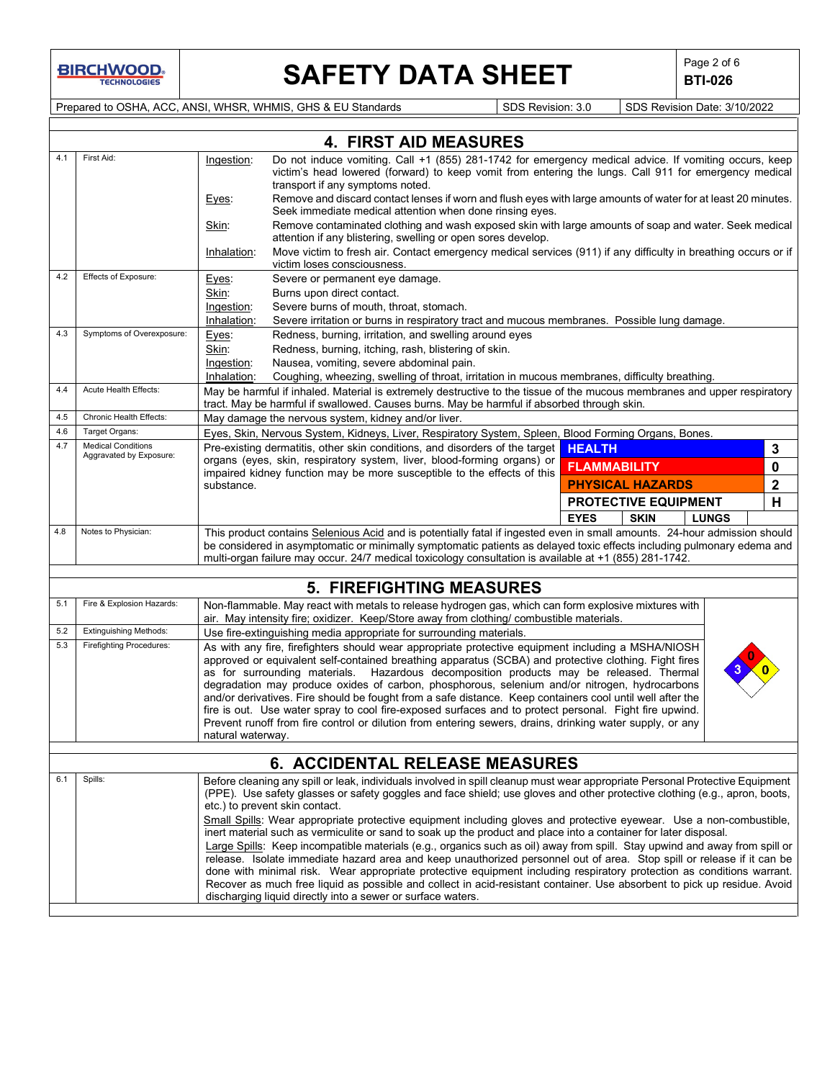# SAFETY DATA SHEET **Page 2 of 6** Page 2 of 6

**BTI-026**

Prepared to OSHA, ACC, ANSI, WHSR, WHMIS, GHS & EU Standards Superinted SDS Revision: 3.0 SDS Revision Date: 3/10/2022

| Do not induce vomiting. Call +1 (855) 281-1742 for emergency medical advice. If vomiting occurs, keep<br>victim's head lowered (forward) to keep vomit from entering the lungs. Call 911 for emergency medical<br>Remove and discard contact lenses if worn and flush eyes with large amounts of water for at least 20 minutes.<br>Remove contaminated clothing and wash exposed skin with large amounts of soap and water. Seek medical<br>Move victim to fresh air. Contact emergency medical services (911) if any difficulty in breathing occurs or if<br>Severe irritation or burns in respiratory tract and mucous membranes. Possible lung damage.<br>Coughing, wheezing, swelling of throat, irritation in mucous membranes, difficulty breathing.<br>May be harmful if inhaled. Material is extremely destructive to the tissue of the mucous membranes and upper respiratory<br>tract. May be harmful if swallowed. Causes burns. May be harmful if absorbed through skin.                                                                                                                                                                                    |  |  |  |  |  |
|-------------------------------------------------------------------------------------------------------------------------------------------------------------------------------------------------------------------------------------------------------------------------------------------------------------------------------------------------------------------------------------------------------------------------------------------------------------------------------------------------------------------------------------------------------------------------------------------------------------------------------------------------------------------------------------------------------------------------------------------------------------------------------------------------------------------------------------------------------------------------------------------------------------------------------------------------------------------------------------------------------------------------------------------------------------------------------------------------------------------------------------------------------------------------|--|--|--|--|--|
|                                                                                                                                                                                                                                                                                                                                                                                                                                                                                                                                                                                                                                                                                                                                                                                                                                                                                                                                                                                                                                                                                                                                                                         |  |  |  |  |  |
|                                                                                                                                                                                                                                                                                                                                                                                                                                                                                                                                                                                                                                                                                                                                                                                                                                                                                                                                                                                                                                                                                                                                                                         |  |  |  |  |  |
|                                                                                                                                                                                                                                                                                                                                                                                                                                                                                                                                                                                                                                                                                                                                                                                                                                                                                                                                                                                                                                                                                                                                                                         |  |  |  |  |  |
|                                                                                                                                                                                                                                                                                                                                                                                                                                                                                                                                                                                                                                                                                                                                                                                                                                                                                                                                                                                                                                                                                                                                                                         |  |  |  |  |  |
|                                                                                                                                                                                                                                                                                                                                                                                                                                                                                                                                                                                                                                                                                                                                                                                                                                                                                                                                                                                                                                                                                                                                                                         |  |  |  |  |  |
|                                                                                                                                                                                                                                                                                                                                                                                                                                                                                                                                                                                                                                                                                                                                                                                                                                                                                                                                                                                                                                                                                                                                                                         |  |  |  |  |  |
|                                                                                                                                                                                                                                                                                                                                                                                                                                                                                                                                                                                                                                                                                                                                                                                                                                                                                                                                                                                                                                                                                                                                                                         |  |  |  |  |  |
| Eyes, Skin, Nervous System, Kidneys, Liver, Respiratory System, Spleen, Blood Forming Organs, Bones.                                                                                                                                                                                                                                                                                                                                                                                                                                                                                                                                                                                                                                                                                                                                                                                                                                                                                                                                                                                                                                                                    |  |  |  |  |  |
| 3<br>0<br><b>FLAMMABILITY</b><br>$\mathbf{2}$<br><b>PHYSICAL HAZARDS</b><br>H<br><b>PROTECTIVE EQUIPMENT</b>                                                                                                                                                                                                                                                                                                                                                                                                                                                                                                                                                                                                                                                                                                                                                                                                                                                                                                                                                                                                                                                            |  |  |  |  |  |
| <b>SKIN</b><br><b>LUNGS</b>                                                                                                                                                                                                                                                                                                                                                                                                                                                                                                                                                                                                                                                                                                                                                                                                                                                                                                                                                                                                                                                                                                                                             |  |  |  |  |  |
| Notes to Physician:<br>4.8<br>This product contains Selenious Acid and is potentially fatal if ingested even in small amounts. 24-hour admission should<br>be considered in asymptomatic or minimally symptomatic patients as delayed toxic effects including pulmonary edema and<br>multi-organ failure may occur. 24/7 medical toxicology consultation is available at +1 (855) 281-1742.                                                                                                                                                                                                                                                                                                                                                                                                                                                                                                                                                                                                                                                                                                                                                                             |  |  |  |  |  |
|                                                                                                                                                                                                                                                                                                                                                                                                                                                                                                                                                                                                                                                                                                                                                                                                                                                                                                                                                                                                                                                                                                                                                                         |  |  |  |  |  |
| Non-flammable. May react with metals to release hydrogen gas, which can form explosive mixtures with                                                                                                                                                                                                                                                                                                                                                                                                                                                                                                                                                                                                                                                                                                                                                                                                                                                                                                                                                                                                                                                                    |  |  |  |  |  |
|                                                                                                                                                                                                                                                                                                                                                                                                                                                                                                                                                                                                                                                                                                                                                                                                                                                                                                                                                                                                                                                                                                                                                                         |  |  |  |  |  |
| Use fire-extinguishing media appropriate for surrounding materials.<br><b>Firefighting Procedures:</b><br>As with any fire, firefighters should wear appropriate protective equipment including a MSHA/NIOSH<br>approved or equivalent self-contained breathing apparatus (SCBA) and protective clothing. Fight fires<br>as for surrounding materials. Hazardous decomposition products may be released. Thermal<br>degradation may produce oxides of carbon, phosphorous, selenium and/or nitrogen, hydrocarbons<br>and/or derivatives. Fire should be fought from a safe distance. Keep containers cool until well after the<br>fire is out. Use water spray to cool fire-exposed surfaces and to protect personal. Fight fire upwind.<br>Prevent runoff from fire control or dilution from entering sewers, drains, drinking water supply, or any<br>natural waterway.                                                                                                                                                                                                                                                                                               |  |  |  |  |  |
|                                                                                                                                                                                                                                                                                                                                                                                                                                                                                                                                                                                                                                                                                                                                                                                                                                                                                                                                                                                                                                                                                                                                                                         |  |  |  |  |  |
| <b>6. ACCIDENTAL RELEASE MEASURES</b><br>Spills:<br>Before cleaning any spill or leak, individuals involved in spill cleanup must wear appropriate Personal Protective Equipment<br>(PPE). Use safety glasses or safety goggles and face shield; use gloves and other protective clothing (e.g., apron, boots,<br>etc.) to prevent skin contact.<br>Small Spills: Wear appropriate protective equipment including gloves and protective eyewear. Use a non-combustible,<br>inert material such as vermiculite or sand to soak up the product and place into a container for later disposal.<br>Large Spills: Keep incompatible materials (e.g., organics such as oil) away from spill. Stay upwind and away from spill or<br>release. Isolate immediate hazard area and keep unauthorized personnel out of area. Stop spill or release if it can be<br>done with minimal risk. Wear appropriate protective equipment including respiratory protection as conditions warrant.<br>Recover as much free liquid as possible and collect in acid-resistant container. Use absorbent to pick up residue. Avoid<br>discharging liquid directly into a sewer or surface waters. |  |  |  |  |  |
| <b>HEALTH</b><br>air. May intensity fire; oxidizer. Keep/Store away from clothing/ combustible materials.                                                                                                                                                                                                                                                                                                                                                                                                                                                                                                                                                                                                                                                                                                                                                                                                                                                                                                                                                                                                                                                               |  |  |  |  |  |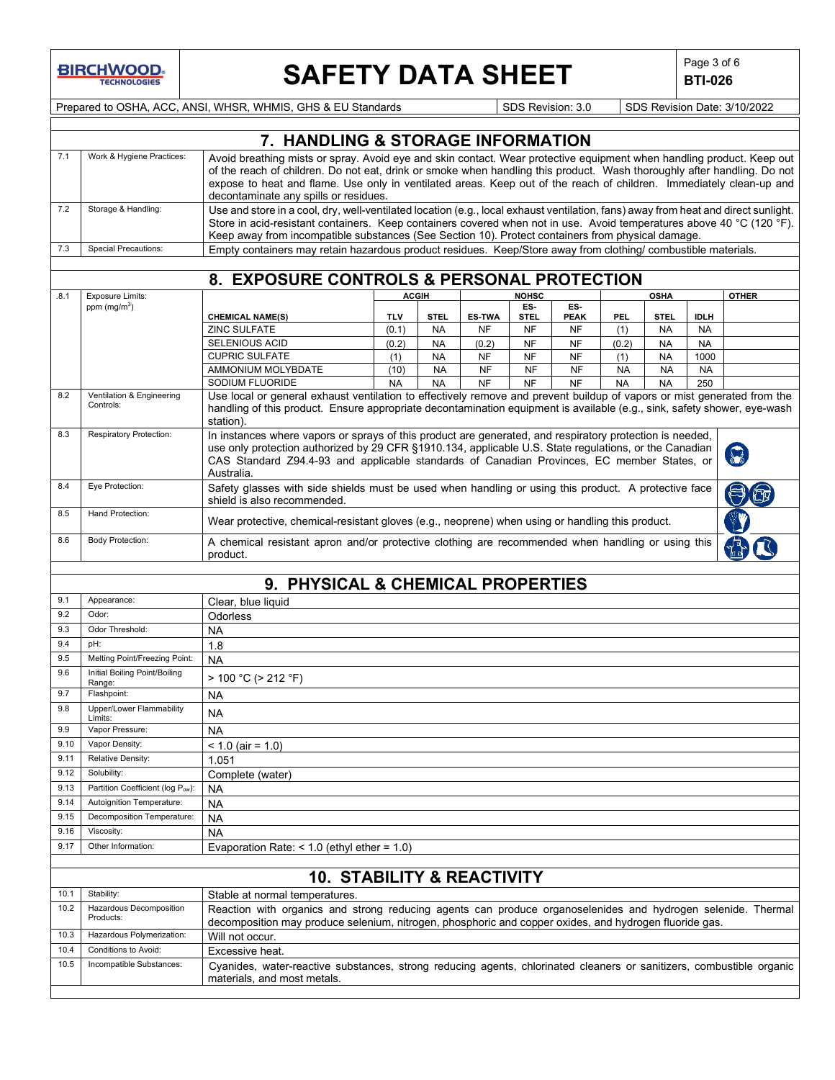# SAFETY DATA SHEET **Page 3 of 6** Page 3 of 6

**BTI-026**

働心

Prepared to OSHA, ACC, ANSI, WHSR, WHMIS, GHS & EU Standards SDS Revision: 3.0 SDS Revision Date: 3/10/2022

product.

|     | 7. HANDLING & STORAGE INFORMATION |                                                                                                                                                                                                                                                                                                                                                                                                                    |  |  |  |
|-----|-----------------------------------|--------------------------------------------------------------------------------------------------------------------------------------------------------------------------------------------------------------------------------------------------------------------------------------------------------------------------------------------------------------------------------------------------------------------|--|--|--|
|     | Work & Hygiene Practices:         | Avoid breathing mists or spray. Avoid eye and skin contact. Wear protective equipment when handling product. Keep out<br>of the reach of children. Do not eat, drink or smoke when handling this product. Wash thoroughly after handling. Do not  <br>expose to heat and flame. Use only in ventilated areas. Keep out of the reach of children. Immediately clean-up and<br>decontaminate any spills or residues. |  |  |  |
| 7.2 | Storage & Handling:               | Use and store in a cool, dry, well-ventilated location (e.g., local exhaust ventilation, fans) away from heat and direct sunlight.<br>Store in acid-resistant containers. Keep containers covered when not in use. Avoid temperatures above 40 °C (120 °F).<br>Keep away from incompatible substances (See Section 10). Protect containers from physical damage.                                                   |  |  |  |
|     | Special Precautions:              | Empty containers may retain hazardous product residues. Keep/Store away from clothing/ combustible materials.                                                                                                                                                                                                                                                                                                      |  |  |  |
|     |                                   |                                                                                                                                                                                                                                                                                                                                                                                                                    |  |  |  |

|      |                                        | 8. EXPOSURE CONTROLS & PERSONAL PROTECTION                                                                                                                                                                                                                                                                                     |              |             |               |             |             |             |             |             |              |
|------|----------------------------------------|--------------------------------------------------------------------------------------------------------------------------------------------------------------------------------------------------------------------------------------------------------------------------------------------------------------------------------|--------------|-------------|---------------|-------------|-------------|-------------|-------------|-------------|--------------|
| .8.1 | <b>Exposure Limits:</b>                |                                                                                                                                                                                                                                                                                                                                | <b>ACGIH</b> |             | <b>NOHSC</b>  |             |             | <b>OSHA</b> |             |             | <b>OTHER</b> |
|      | ppm $(mg/m3)$                          |                                                                                                                                                                                                                                                                                                                                |              |             |               | ES-         | ES-         |             |             |             |              |
|      |                                        | <b>CHEMICAL NAME(S)</b>                                                                                                                                                                                                                                                                                                        | <b>TLV</b>   | <b>STEL</b> | <b>ES TWA</b> | <b>STEL</b> | <b>PEAK</b> | <b>PEL</b>  | <b>STEL</b> | <b>IDLH</b> |              |
|      |                                        | <b>ZINC SULFATE</b>                                                                                                                                                                                                                                                                                                            | (0.1)        | <b>NA</b>   | <b>NF</b>     | NF          | <b>NF</b>   | (1)         | <b>NA</b>   | <b>NA</b>   |              |
|      |                                        | <b>SELENIOUS ACID</b>                                                                                                                                                                                                                                                                                                          | (0.2)        | <b>NA</b>   | (0.2)         | NF          | <b>NF</b>   | (0.2)       | <b>NA</b>   | <b>NA</b>   |              |
|      |                                        | <b>CUPRIC SULFATE</b>                                                                                                                                                                                                                                                                                                          | (1)          | <b>NA</b>   | <b>NF</b>     | <b>NF</b>   | <b>NF</b>   | (1)         | <b>NA</b>   | 1000        |              |
|      |                                        | AMMONIUM MOLYBDATE                                                                                                                                                                                                                                                                                                             | (10)         | <b>NA</b>   | <b>NF</b>     | <b>NF</b>   | <b>NF</b>   | <b>NA</b>   | <b>NA</b>   | <b>NA</b>   |              |
|      |                                        | SODIUM FLUORIDE                                                                                                                                                                                                                                                                                                                | <b>NA</b>    | <b>NA</b>   | NF            | NF          | <b>NF</b>   | <b>NA</b>   | <b>NA</b>   | 250         |              |
| 8.2  | Ventilation & Engineering<br>Controls: | Use local or general exhaust ventilation to effectively remove and prevent buildup of vapors or mist generated from the<br>handling of this product. Ensure appropriate decontamination equipment is available (e.g., sink, safety shower, eye-wash<br>station).                                                               |              |             |               |             |             |             |             |             |              |
| 8.3  | <b>Respiratory Protection:</b>         | In instances where vapors or sprays of this product are generated, and respiratory protection is needed,<br>use only protection authorized by 29 CFR §1910.134, applicable U.S. State regulations, or the Canadian<br>CAS Standard Z94.4-93 and applicable standards of Canadian Provinces, EC member States, or<br>Australia. |              |             |               |             |             |             |             |             | $\delta$     |
| 8.4  | Eye Protection:                        | Safety glasses with side shields must be used when handling or using this product. A protective face<br>shield is also recommended.                                                                                                                                                                                            |              |             |               |             |             |             |             |             |              |
| 8.5  | Hand Protection:                       | Wear protective, chemical-resistant gloves (e.g., neoprene) when using or handling this product.                                                                                                                                                                                                                               |              |             |               |             |             |             |             |             |              |

## **9. PHYSICAL & CHEMICAL PROPERTIES**

8.6 Body Protection: A chemical resistant apron and/or protective clothing are recommended when handling or using this

| 9.1  | Appearance:                             | Clear, blue liquid                                                                                                                                                                                                     |
|------|-----------------------------------------|------------------------------------------------------------------------------------------------------------------------------------------------------------------------------------------------------------------------|
| 9.2  | Odor:                                   | Odorless                                                                                                                                                                                                               |
| 9.3  | Odor Threshold:                         | <b>NA</b>                                                                                                                                                                                                              |
| 9.4  | pH:                                     | 1.8                                                                                                                                                                                                                    |
| 9.5  | Melting Point/Freezing Point:           | <b>NA</b>                                                                                                                                                                                                              |
| 9.6  | Initial Boiling Point/Boiling<br>Range: | $> 100 °C$ ( $> 212 °F$ )                                                                                                                                                                                              |
| 9.7  | Flashpoint:                             | <b>NA</b>                                                                                                                                                                                                              |
| 9.8  | Upper/Lower Flammability<br>Limits:     | <b>NA</b>                                                                                                                                                                                                              |
| 9.9  | Vapor Pressure:                         | <b>NA</b>                                                                                                                                                                                                              |
| 9.10 | Vapor Density:                          | $< 1.0$ (air = 1.0)                                                                                                                                                                                                    |
| 9.11 | Relative Density:                       | 1.051                                                                                                                                                                                                                  |
| 9.12 | Solubility:                             | Complete (water)                                                                                                                                                                                                       |
| 9.13 | Partition Coefficient (log Pow):        | <b>NA</b>                                                                                                                                                                                                              |
| 9.14 | Autoignition Temperature:               | <b>NA</b>                                                                                                                                                                                                              |
| 9.15 | Decomposition Temperature:              | <b>NA</b>                                                                                                                                                                                                              |
| 9.16 | Viscosity:                              | <b>NA</b>                                                                                                                                                                                                              |
| 9.17 | Other Information:                      | Evaporation Rate: $<$ 1.0 (ethyl ether = 1.0)                                                                                                                                                                          |
|      |                                         |                                                                                                                                                                                                                        |
|      |                                         | 10. STABILITY & REACTIVITY                                                                                                                                                                                             |
| 10.1 | Stability:                              | Stable at normal temperatures.                                                                                                                                                                                         |
| 10.2 | Hazardous Decomposition<br>Products:    | Reaction with organics and strong reducing agents can produce organoselenides and hydrogen selenide. Thermal<br>decomposition may produce selenium, nitrogen, phosphoric and copper oxides, and hydrogen fluoride gas. |
| 10.3 | Hazardous Polymerization:               | Will not occur.                                                                                                                                                                                                        |
| 10.4 | Conditions to Avoid:                    | Excessive heat.                                                                                                                                                                                                        |
| 10.5 | Incompatible Substances:                | Cyanides, water-reactive substances, strong reducing agents, chlorinated cleaners or sanitizers, combustible organic<br>materials, and most metals.                                                                    |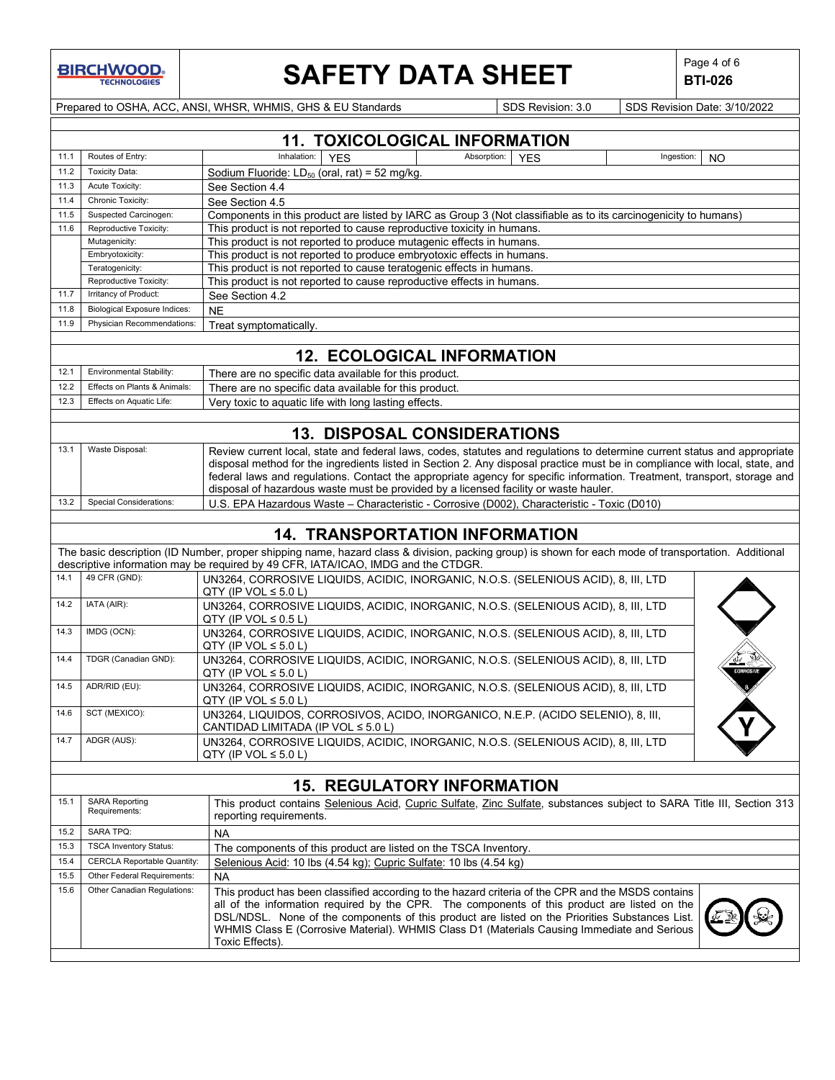

# **SAFETY DATA SHEET**  $\left|\begin{array}{cc} \text{Page 4 of 6} \\ \text{BTI-026} \end{array}\right|$

**BTI-026**

Prepared to OSHA, ACC, ANSI, WHSR, WHMIS, GHS & EU Standards Superinted SDS Revision: 3.0 SDS Revision Date: 3/10/2022

|      |                                     | <b>11. TOXICOLOGICAL INFORMATION</b>                                                                                                                                                                             |
|------|-------------------------------------|------------------------------------------------------------------------------------------------------------------------------------------------------------------------------------------------------------------|
| 11.1 | Routes of Entry:                    | Inhalation:<br>Absorption:<br><b>YES</b><br><b>YES</b><br>Ingestion:<br>NO.                                                                                                                                      |
| 11.2 | <b>Toxicity Data:</b>               | Sodium Fluoride: $LD_{50}$ (oral, rat) = 52 mg/kg.                                                                                                                                                               |
| 11.3 | Acute Toxicity:                     | See Section 4.4                                                                                                                                                                                                  |
| 11.4 | Chronic Toxicity:                   | See Section 4.5                                                                                                                                                                                                  |
| 11.5 | Suspected Carcinogen:               | Components in this product are listed by IARC as Group 3 (Not classifiable as to its carcinogenicity to humans)                                                                                                  |
| 11.6 | Reproductive Toxicity:              | This product is not reported to cause reproductive toxicity in humans.                                                                                                                                           |
|      | Mutagenicity:                       | This product is not reported to produce mutagenic effects in humans.                                                                                                                                             |
|      | Embryotoxicity:                     | This product is not reported to produce embryotoxic effects in humans.                                                                                                                                           |
|      | Teratogenicity:                     | This product is not reported to cause teratogenic effects in humans.                                                                                                                                             |
|      | Reproductive Toxicity:              | This product is not reported to cause reproductive effects in humans.                                                                                                                                            |
| 11.7 | Irritancy of Product:               | See Section 4.2                                                                                                                                                                                                  |
| 11.8 | <b>Biological Exposure Indices:</b> | <b>NE</b>                                                                                                                                                                                                        |
| 11.9 | Physician Recommendations:          | Treat symptomatically.                                                                                                                                                                                           |
|      |                                     |                                                                                                                                                                                                                  |
|      |                                     | <b>12. ECOLOGICAL INFORMATION</b>                                                                                                                                                                                |
| 12.1 | Environmental Stability:            | There are no specific data available for this product.                                                                                                                                                           |
| 12.2 | Effects on Plants & Animals:        | There are no specific data available for this product.                                                                                                                                                           |
| 12.3 | Effects on Aquatic Life:            | Very toxic to aquatic life with long lasting effects.                                                                                                                                                            |
|      |                                     |                                                                                                                                                                                                                  |
|      |                                     | <b>13. DISPOSAL CONSIDERATIONS</b>                                                                                                                                                                               |
| 13.1 | Waste Disposal:                     | Review current local, state and federal laws, codes, statutes and regulations to determine current status and appropriate                                                                                        |
|      |                                     | disposal method for the ingredients listed in Section 2. Any disposal practice must be in compliance with local, state, and                                                                                      |
|      |                                     | federal laws and regulations. Contact the appropriate agency for specific information. Treatment, transport, storage and<br>disposal of hazardous waste must be provided by a licensed facility or waste hauler. |
| 13.2 | <b>Special Considerations:</b>      | U.S. EPA Hazardous Waste - Characteristic - Corrosive (D002), Characteristic - Toxic (D010)                                                                                                                      |
|      |                                     |                                                                                                                                                                                                                  |
|      |                                     | <b>14. TRANSPORTATION INFORMATION</b>                                                                                                                                                                            |
|      |                                     | The basic description (ID Number, proper shipping name, hazard class & division, packing group) is shown for each mode of transportation. Additional                                                             |
|      |                                     | descriptive information may be required by 49 CFR, IATA/ICAO, IMDG and the CTDGR.                                                                                                                                |
| 14.1 | 49 CFR (GND):                       | UN3264, CORROSIVE LIQUIDS, ACIDIC, INORGANIC, N.O.S. (SELENIOUS ACID), 8, III, LTD                                                                                                                               |
|      |                                     | QTY (IP VOL $\leq$ 5.0 L)                                                                                                                                                                                        |
| 14.2 | IATA (AIR):                         | UN3264, CORROSIVE LIQUIDS, ACIDIC, INORGANIC, N.O.S. (SELENIOUS ACID), 8, III, LTD                                                                                                                               |
|      |                                     | QTY (IP VOL $\leq$ 0.5 L)                                                                                                                                                                                        |
| 14.3 | IMDG (OCN):                         | UN3264, CORROSIVE LIQUIDS, ACIDIC, INORGANIC, N.O.S. (SELENIOUS ACID), 8, III, LTD                                                                                                                               |
|      |                                     | QTY (IP VOL $\leq 5.0$ L)                                                                                                                                                                                        |
| 14.4 | TDGR (Canadian GND):                | UN3264, CORROSIVE LIQUIDS, ACIDIC, INORGANIC, N.O.S. (SELENIOUS ACID), 8, III, LTD                                                                                                                               |
|      |                                     | QTY (IP VOL $\leq$ 5.0 L)                                                                                                                                                                                        |
| 14.5 | ADR/RID (EU):                       | UN3264, CORROSIVE LIQUIDS, ACIDIC, INORGANIC, N.O.S. (SELENIOUS ACID), 8, III, LTD                                                                                                                               |
| 14.6 |                                     | QTY (IP VOL $\leq$ 5.0 L)                                                                                                                                                                                        |
|      | SCT (MEXICO):                       | UN3264, LIQUIDOS, CORROSIVOS, ACIDO, INORGANICO, N.E.P. (ACIDO SELENIO), 8, III,<br>CANTIDAD LIMITADA (IP VOL $\leq 5.0$ L)                                                                                      |
| 14.7 | ADGR (AUS):                         | UN3264, CORROSIVE LIQUIDS, ACIDIC, INORGANIC, N.O.S. (SELENIOUS ACID), 8, III, LTD                                                                                                                               |
|      |                                     | QTY (IP VOL $\leq$ 5.0 L)                                                                                                                                                                                        |
|      |                                     |                                                                                                                                                                                                                  |
|      |                                     | <b>15. REGULATORY INFORMATION</b>                                                                                                                                                                                |
| 15.1 | <b>SARA Reporting</b>               | This product contains Selenious Acid, Cupric Sulfate, Zinc Sulfate, substances subject to SARA Title III, Section 313                                                                                            |
|      | Requirements:                       | reporting requirements.                                                                                                                                                                                          |
| 15.2 | <b>SARA TPQ:</b>                    | NA                                                                                                                                                                                                               |
| 15.3 | <b>TSCA Inventory Status:</b>       | The components of this product are listed on the TSCA Inventory.                                                                                                                                                 |
| 15.4 | <b>CERCLA Reportable Quantity:</b>  | Selenious Acid: 10 lbs (4.54 kg); Cupric Sulfate: 10 lbs (4.54 kg)                                                                                                                                               |
| 15.5 | Other Federal Requirements:         | <b>NA</b>                                                                                                                                                                                                        |
| 15.6 | Other Canadian Regulations:         | This product has been classified according to the hazard criteria of the CPR and the MSDS contains                                                                                                               |
|      |                                     | all of the information required by the CPR. The components of this product are listed on the                                                                                                                     |
|      |                                     | DSL/NDSL. None of the components of this product are listed on the Priorities Substances List.                                                                                                                   |
|      |                                     | WHMIS Class E (Corrosive Material). WHMIS Class D1 (Materials Causing Immediate and Serious                                                                                                                      |
|      |                                     | Toxic Effects).                                                                                                                                                                                                  |
|      |                                     |                                                                                                                                                                                                                  |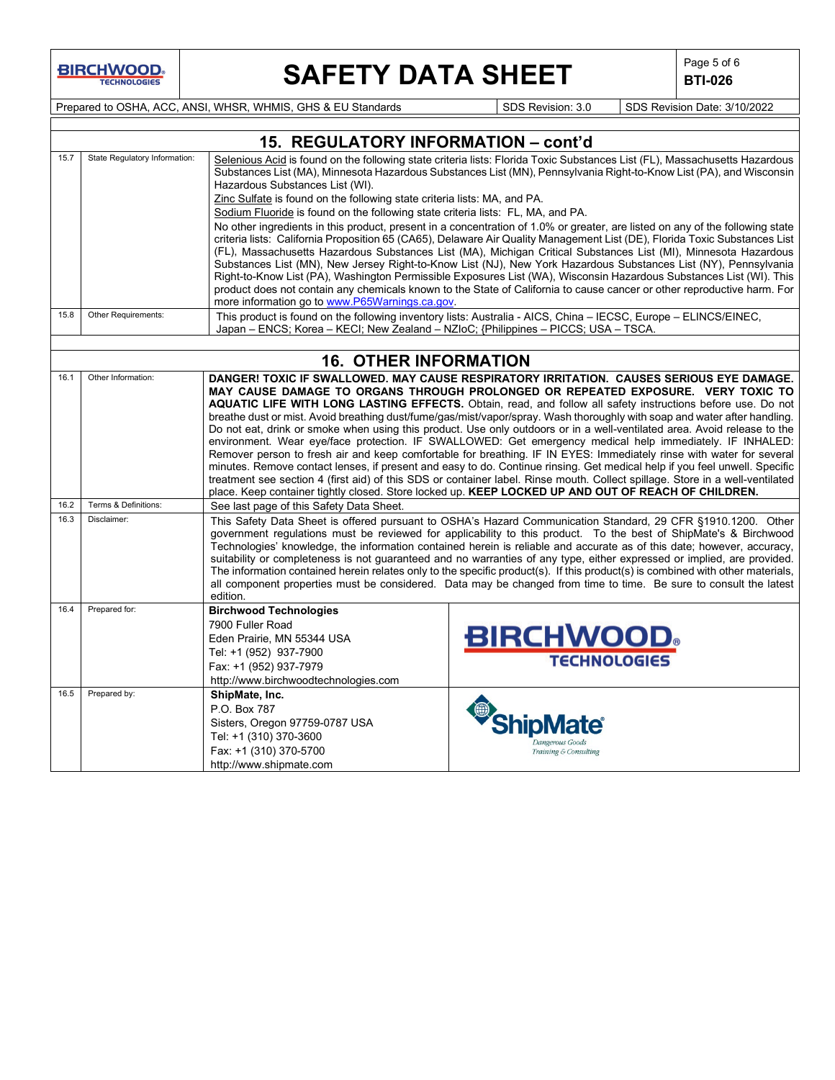# SAFETY DATA SHEET **Page 5 of 6** Page 5 of 6

**BTI-026**

SDS Revision: 3.0 SDS Revision Date: 3/10/2022

| I Prepared to OSHA. ACC. ANSI. WHSR. WHMIS. GHS & EU Standards |
|----------------------------------------------------------------|
|                                                                |
|                                                                |
|                                                                |

## **15. REGULATORY INFORMATION – cont'd**

| 15.7 | State Regulatory Information: | Selenious Acid is found on the following state criteria lists: Florida Toxic Substances List (FL), Massachusetts Hazardous<br>Substances List (MA), Minnesota Hazardous Substances List (MN), Pennsylvania Right-to-Know List (PA), and Wisconsin<br>Hazardous Substances List (WI).<br>Zinc Sulfate is found on the following state criteria lists: MA, and PA.<br>Sodium Fluoride is found on the following state criteria lists: FL, MA, and PA.<br>No other ingredients in this product, present in a concentration of 1.0% or greater, are listed on any of the following state<br>criteria lists: California Proposition 65 (CA65), Delaware Air Quality Management List (DE), Florida Toxic Substances List<br>(FL), Massachusetts Hazardous Substances List (MA), Michigan Critical Substances List (MI), Minnesota Hazardous<br>Substances List (MN), New Jersey Right-to-Know List (NJ), New York Hazardous Substances List (NY), Pennsylvania<br>Right-to-Know List (PA), Washington Permissible Exposures List (WA), Wisconsin Hazardous Substances List (WI). This<br>product does not contain any chemicals known to the State of California to cause cancer or other reproductive harm. For<br>more information go to www.P65Warnings.ca.gov. |
|------|-------------------------------|--------------------------------------------------------------------------------------------------------------------------------------------------------------------------------------------------------------------------------------------------------------------------------------------------------------------------------------------------------------------------------------------------------------------------------------------------------------------------------------------------------------------------------------------------------------------------------------------------------------------------------------------------------------------------------------------------------------------------------------------------------------------------------------------------------------------------------------------------------------------------------------------------------------------------------------------------------------------------------------------------------------------------------------------------------------------------------------------------------------------------------------------------------------------------------------------------------------------------------------------------------------|
| 15.8 | Other Requirements:           | This product is found on the following inventory lists: Australia - AICS, China – IECSC, Europe – ELINCS/EINEC,<br>Japan - ENCS; Korea - KECI; New Zealand - NZIoC; {Philippines - PICCS; USA - TSCA.                                                                                                                                                                                                                                                                                                                                                                                                                                                                                                                                                                                                                                                                                                                                                                                                                                                                                                                                                                                                                                                        |

## **16. OTHER INFORMATION**

| 16.1 | Other Information:   |                                                                                                                                                                             | DANGER! TOXIC IF SWALLOWED. MAY CAUSE RESPIRATORY IRRITATION. CAUSES SERIOUS EYE DAMAGE.<br>MAY CAUSE DAMAGE TO ORGANS THROUGH PROLONGED OR REPEATED EXPOSURE. VERY TOXIC TO<br>AQUATIC LIFE WITH LONG LASTING EFFECTS. Obtain, read, and follow all safety instructions before use. Do not<br>breathe dust or mist. Avoid breathing dust/fume/gas/mist/vapor/spray. Wash thoroughly with soap and water after handling.<br>Do not eat, drink or smoke when using this product. Use only outdoors or in a well-ventilated area. Avoid release to the<br>environment. Wear eye/face protection. IF SWALLOWED: Get emergency medical help immediately. IF INHALED:<br>Remover person to fresh air and keep comfortable for breathing. IF IN EYES: Immediately rinse with water for several<br>minutes. Remove contact lenses, if present and easy to do. Continue rinsing. Get medical help if you feel unwell. Specific<br>treatment see section 4 (first aid) of this SDS or container label. Rinse mouth. Collect spillage. Store in a well-ventilated<br>place. Keep container tightly closed. Store locked up. KEEP LOCKED UP AND OUT OF REACH OF CHILDREN. |
|------|----------------------|-----------------------------------------------------------------------------------------------------------------------------------------------------------------------------|----------------------------------------------------------------------------------------------------------------------------------------------------------------------------------------------------------------------------------------------------------------------------------------------------------------------------------------------------------------------------------------------------------------------------------------------------------------------------------------------------------------------------------------------------------------------------------------------------------------------------------------------------------------------------------------------------------------------------------------------------------------------------------------------------------------------------------------------------------------------------------------------------------------------------------------------------------------------------------------------------------------------------------------------------------------------------------------------------------------------------------------------------------------|
| 16.2 | Terms & Definitions: | See last page of this Safety Data Sheet.                                                                                                                                    |                                                                                                                                                                                                                                                                                                                                                                                                                                                                                                                                                                                                                                                                                                                                                                                                                                                                                                                                                                                                                                                                                                                                                                |
| 16.3 | Disclaimer:          | edition.                                                                                                                                                                    | This Safety Data Sheet is offered pursuant to OSHA's Hazard Communication Standard, 29 CFR §1910.1200. Other<br>government regulations must be reviewed for applicability to this product. To the best of ShipMate's & Birchwood<br>Technologies' knowledge, the information contained herein is reliable and accurate as of this date; however, accuracy,<br>suitability or completeness is not guaranteed and no warranties of any type, either expressed or implied, are provided.<br>The information contained herein relates only to the specific product(s). If this product(s) is combined with other materials,<br>all component properties must be considered. Data may be changed from time to time. Be sure to consult the latest                                                                                                                                                                                                                                                                                                                                                                                                                   |
| 16.4 | Prepared for:        | <b>Birchwood Technologies</b><br>7900 Fuller Road<br>Eden Prairie, MN 55344 USA<br>Tel: +1 (952) 937-7900<br>Fax: +1 (952) 937-7979<br>http://www.birchwoodtechnologies.com | <b>BIRCHWOOD</b><br><b>TECHNOLOGIES</b>                                                                                                                                                                                                                                                                                                                                                                                                                                                                                                                                                                                                                                                                                                                                                                                                                                                                                                                                                                                                                                                                                                                        |
| 16.5 | Prepared by:         | ShipMate, Inc.<br>P O Box 787<br>Sisters, Oregon 97759-0787 USA<br>Tel: +1 (310) 370-3600<br>Fax: +1 (310) 370-5700<br>http://www.shipmate.com                              | Training & Consulting                                                                                                                                                                                                                                                                                                                                                                                                                                                                                                                                                                                                                                                                                                                                                                                                                                                                                                                                                                                                                                                                                                                                          |